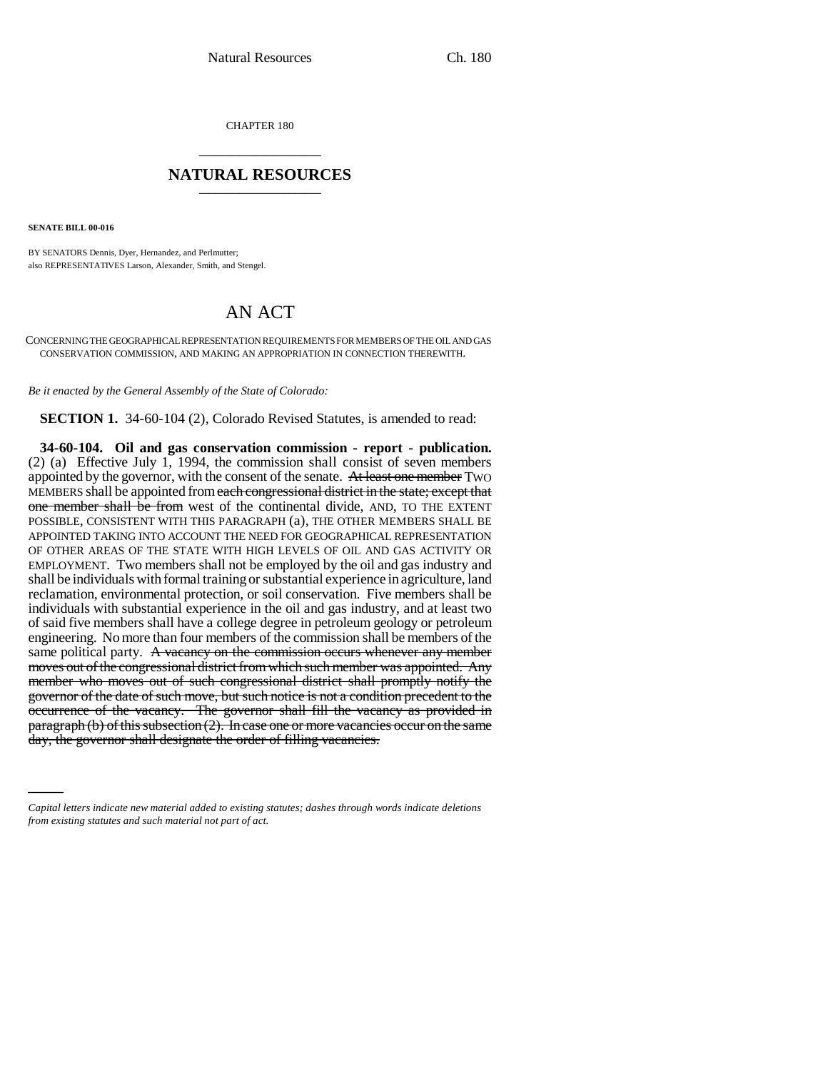CHAPTER 180 \_\_\_\_\_\_\_\_\_\_\_\_\_\_\_

## **NATURAL RESOURCES** \_\_\_\_\_\_\_\_\_\_\_\_\_\_\_

**SENATE BILL 00-016** 

BY SENATORS Dennis, Dyer, Hernandez, and Perlmutter; also REPRESENTATIVES Larson, Alexander, Smith, and Stengel.

## AN ACT

CONCERNING THE GEOGRAPHICAL REPRESENTATION REQUIREMENTS FOR MEMBERS OF THE OIL AND GAS CONSERVATION COMMISSION, AND MAKING AN APPROPRIATION IN CONNECTION THEREWITH.

*Be it enacted by the General Assembly of the State of Colorado:*

**SECTION 1.** 34-60-104 (2), Colorado Revised Statutes, is amended to read:

paragraph (b) of this subsection (2). In case one or more vacancies occur on the same **34-60-104. Oil and gas conservation commission - report - publication.** (2) (a) Effective July 1, 1994, the commission shall consist of seven members appointed by the governor, with the consent of the senate. At least one member Two MEMBERS shall be appointed from each congressional district in the state; except that one member shall be from west of the continental divide, AND, TO THE EXTENT POSSIBLE, CONSISTENT WITH THIS PARAGRAPH (a), THE OTHER MEMBERS SHALL BE APPOINTED TAKING INTO ACCOUNT THE NEED FOR GEOGRAPHICAL REPRESENTATION OF OTHER AREAS OF THE STATE WITH HIGH LEVELS OF OIL AND GAS ACTIVITY OR EMPLOYMENT. Two members shall not be employed by the oil and gas industry and shall be individuals with formal training or substantial experience in agriculture, land reclamation, environmental protection, or soil conservation. Five members shall be individuals with substantial experience in the oil and gas industry, and at least two of said five members shall have a college degree in petroleum geology or petroleum engineering. No more than four members of the commission shall be members of the same political party. A vacancy on the commission occurs whenever any member moves out of the congressional district from which such member was appointed. Any member who moves out of such congressional district shall promptly notify the governor of the date of such move, but such notice is not a condition precedent to the occurrence of the vacancy. The governor shall fill the vacancy as provided in day, the governor shall designate the order of filling vacancies.

*Capital letters indicate new material added to existing statutes; dashes through words indicate deletions from existing statutes and such material not part of act.*